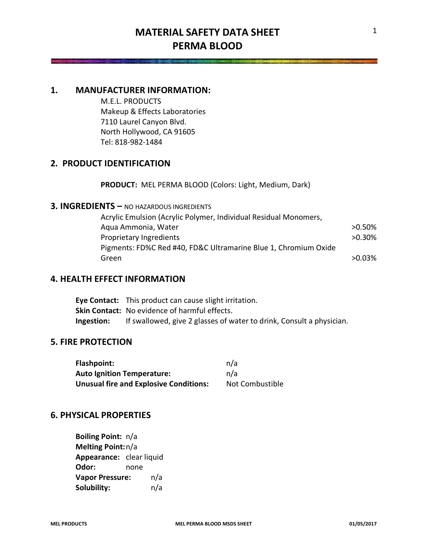# **MATERIAL SAFETY DATA SHEET PERMA BLOOD**

# **1. MANUFACTURER INFORMATION:**

M.E.L. PRODUCTS Makeup & Effects Laboratories 7110 Laurel Canyon Blvd. North Hollywood, CA 91605 Tel: 818-982-1484

# **2. PRODUCT IDENTIFICATION**

**PRODUCT:** MEL PERMA BLOOD (Colors: Light, Medium, Dark)

# **3. INGREDIENTS –** NO HAZARDOUS INGREDIENTS

| Acrylic Emulsion (Acrylic Polymer, Individual Residual Monomers, |           |
|------------------------------------------------------------------|-----------|
| Aqua Ammonia, Water                                              | $>0.50\%$ |
| Proprietary Ingredients                                          | $>0.30\%$ |
| Pigments: FD%C Red #40, FD&C Ultramarine Blue 1, Chromium Oxide  |           |
| Green                                                            | $>0.03\%$ |

# **4. HEALTH EFFECT INFORMATION**

**Eye Contact:** This product can cause slight irritation. **Skin Contact:** No evidence of harmful effects. **Ingestion:** If swallowed, give 2 glasses of water to drink, Consult a physician.

# **5. FIRE PROTECTION**

| Flashpoint:                                   | n/a             |
|-----------------------------------------------|-----------------|
| <b>Auto Ignition Temperature:</b>             | n/a             |
| <b>Unusual fire and Explosive Conditions:</b> | Not Combustible |

# **6. PHYSICAL PROPERTIES**

**Boiling Point:** n/a **Melting Point:**n/a **Appearance:** clear liquid **Odor:** none **Vapor Pressure:** n/a **Solubility:** n/a